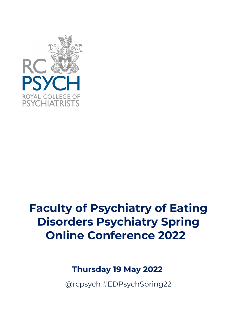

# **Faculty of Psychiatry of Eating Disorders Psychiatry Spring Online Conference 2022**

# **Thursday 19 May 2022**

@rcpsych #EDPsychSpring22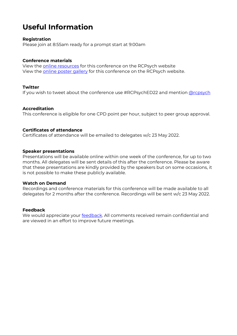# **Useful Information**

# **Registration**

Please join at 8:55am ready for a prompt start at 9:00am

# **Conference materials**

View the [online resources](https://www.rcpsych.ac.uk/%7E/events/conferences/Intellectual-Disability-Spring-Conference-2022---online-resources) for this conference on the RCPsych website View the [online poster gallery](https://www.rcpsych.ac.uk/events/conferences/2022/poster-viewing-faculty-of-eating-disorders-spring-online-conference-2022) for this conference on the RCPsych website.

# **Twitter**

If you wish to tweet about the conference use #RCPsychED22 and mention [@rcpsych](https://twitter.com/rcpsych)

# **Accreditation**

This conference is eligible for one CPD point per hour, subject to peer group approval.

# **Certificates of attendance**

Certificates of attendance will be emailed to delegates w/c 23 May 2022.  

### **Speaker presentations**

Presentations will be available online within one week of the conference, for up to two months. All delegates will be sent details of this after the conference. Please be aware that these presentations are kindly provided by the speakers but on some occasions, it is not possible to make these publicly available.  

#### **Watch on Demand**

Recordings and conference materials for this conference will be made available to all delegates for 2 months after the conference. Recordings will be sent w/c 23 May 2022.

#### **Feedback**

We would appreciate your **feedback**. All comments received remain confidential and are viewed in an effort to improve future meetings.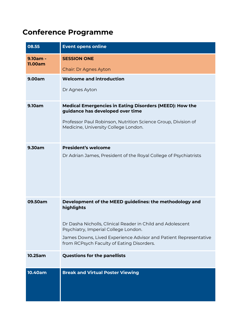# **Conference Programme**

| 08.55                 | <b>Event opens online</b>                                                                                                                                                                                                                                                                    |
|-----------------------|----------------------------------------------------------------------------------------------------------------------------------------------------------------------------------------------------------------------------------------------------------------------------------------------|
| $9.10am -$<br>11.00am | <b>SESSION ONE</b><br>Chair: Dr Agnes Ayton                                                                                                                                                                                                                                                  |
| 9.00am                | <b>Welcome and introduction</b><br>Dr Agnes Ayton                                                                                                                                                                                                                                            |
| <b>9.10am</b>         | <b>Medical Emergencies in Eating Disorders (MEED): How the</b><br>guidance has developed over time<br>Professor Paul Robinson, Nutrition Science Group, Division of<br>Medicine, University College London.                                                                                  |
| 9.30am                | <b>President's welcome</b><br>Dr Adrian James, President of the Royal College of Psychiatrists                                                                                                                                                                                               |
| 09.50am               | Development of the MEED guidelines: the methodology and<br>highlights<br>Dr Dasha Nicholls, Clinical Reader in Child and Adolescent<br>Psychiatry, Imperial College London.<br>James Downs, Lived Experience Advisor and Patient Representative<br>from RCPsych Faculty of Eating Disorders. |
| 10.25am               | <b>Questions for the panellists</b>                                                                                                                                                                                                                                                          |
| 10.40am               | <b>Break and Virtual Poster Viewing</b>                                                                                                                                                                                                                                                      |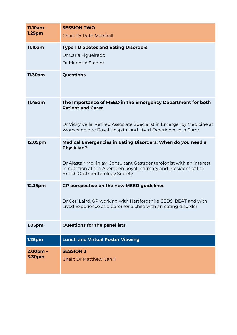| $11.10am -$<br>1.25 <sub>pm</sub> | <b>SESSION TWO</b><br><b>Chair: Dr Ruth Marshall</b>                                                                                                                                                                                                                     |
|-----------------------------------|--------------------------------------------------------------------------------------------------------------------------------------------------------------------------------------------------------------------------------------------------------------------------|
| <b>11.10am</b>                    | <b>Type 1 Diabetes and Eating Disorders</b><br>Dr Carla Figueiredo<br>Dr Marietta Stadler                                                                                                                                                                                |
| 11.30am                           | Questions                                                                                                                                                                                                                                                                |
| 11.45am                           | The Importance of MEED in the Emergency Department for both<br><b>Patient and Carer</b><br>Dr Vicky Vella, Retired Associate Specialist in Emergency Medicine at<br>Worcestershire Royal Hospital and Lived Experience as a Carer.                                       |
| 12.05pm                           | Medical Emergencies in Eating Disorders: When do you need a<br><b>Physician?</b><br>Dr Alastair McKinlay, Consultant Gastroenterologist with an interest<br>in nutrition at the Aberdeen Royal Infirmary and President of the<br><b>British Gastroenterology Society</b> |
| 12.35pm                           | GP perspective on the new MEED guidelines<br>Dr Ceri Laird, GP working with Hertfordshire CEDS, BEAT and with<br>Lived Experience as a Carer for a child with an eating disorder                                                                                         |
| 1.05pm                            | <b>Questions for the panellists</b>                                                                                                                                                                                                                                      |
| 1.25 <sub>pm</sub>                | <b>Lunch and Virtual Poster Viewing</b>                                                                                                                                                                                                                                  |
| $2.00pm -$<br>3.30pm              | <b>SESSION 3</b><br><b>Chair: Dr Matthew Cahill</b>                                                                                                                                                                                                                      |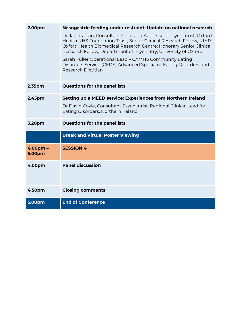| 2.00pm               | Nasogastric feeding under restraint: Update on national research                                                                                                                                                                                                                    |
|----------------------|-------------------------------------------------------------------------------------------------------------------------------------------------------------------------------------------------------------------------------------------------------------------------------------|
|                      | Dr Jacinta Tan, Consultant Child and Adolescent Psychiatrist, Oxford<br>Health NHS Foundation Trust; Senior Clinical Research Fellow, NIHR<br>Oxford Health Biomedical Research Centre; Honorary Senior Clinical<br>Research Fellow, Department of Psychiatry, University of Oxford |
|                      | Sarah Fuller Operational Lead - CAMHS Community Eating<br>Disorders Service (CEDS) Advanced Specialist Eating Disorders and<br>Research Dietitian                                                                                                                                   |
| 2.35 <sub>pm</sub>   | <b>Questions for the panellists</b>                                                                                                                                                                                                                                                 |
| 2.45pm               | Setting up a MEED service: Experiences from Northern Ireland                                                                                                                                                                                                                        |
|                      | Dr David Coyle, Consultant Psychiatrist, Regional Clinical Lead for<br>Eating Disorders, Northern Ireland                                                                                                                                                                           |
|                      |                                                                                                                                                                                                                                                                                     |
| 3.20pm               | <b>Questions for the panellists</b>                                                                                                                                                                                                                                                 |
|                      | <b>Break and Virtual Poster Viewing</b>                                                                                                                                                                                                                                             |
| $4.00pm -$<br>5.00pm | <b>SESSION 4</b>                                                                                                                                                                                                                                                                    |
| 4.00pm               | <b>Panel discussion</b>                                                                                                                                                                                                                                                             |
| 4.50pm               | <b>Closing comments</b>                                                                                                                                                                                                                                                             |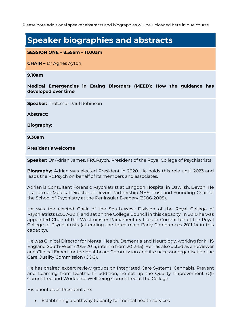Please note additional speaker abstracts and biographies will be uploaded here in due course

# **Speaker biographies and abstracts**

**SESSION ONE – 8.55am – 11.00am**

**CHAIR –** Dr Agnes Ayton

**9.10am**

**Medical Emergencies in Eating Disorders (MEED): How the guidance has developed over time**

**Speaker:** Professor Paul Robinson

**Abstract:** 

**Biography:**

**9.30am**

**President's welcome** 

**Speaker:** Dr Adrian James, FRCPsych, President of the Royal College of Psychiatrists

**Biography:** Adrian was elected President in 2020. He holds this role until 2023 and leads the RCPsych on behalf of its members and associates.

Adrian is Consultant Forensic Psychiatrist at Langdon Hospital in Dawlish, Devon. He is a former Medical Director of Devon Partnership NHS Trust and Founding Chair of the School of Psychiatry at the Peninsular Deanery (2006-2008).

He was the elected Chair of the South-West Division of the Royal College of Psychiatrists (2007-2011) and sat on the College Council in this capacity. In 2010 he was appointed Chair of the Westminster Parliamentary Liaison Committee of the Royal College of Psychiatrists (attending the three main Party Conferences 2011-14 in this capacity).

He was Clinical Director for Mental Health, Dementia and Neurology, working for NHS England South-West (2013-2015, interim from 2012-13). He has also acted as a Reviewer and Clinical Expert for the Healthcare Commission and its successor organisation the Care Quality Commission (CQC).

He has chaired expert review groups on Integrated Care Systems, Cannabis, Prevent and Learning from Deaths. In addition, he set up the Quality Improvement (QI) Committee and Workforce Wellbeing Committee at the College.

His priorities as President are:

• Establishing a pathway to parity for mental health services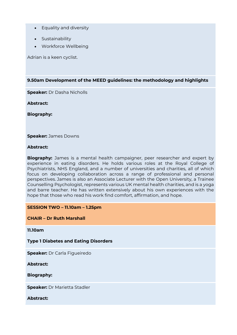- Equality and diversity
- Sustainability
- Workforce Wellbeing

Adrian is a keen cyclist.

**9.50am Development of the MEED guidelines: the methodology and highlights**

**Speaker:** Dr Dasha Nicholls

**Abstract:** 

**Biography:**

**Speaker:** James Downs

### **Abstract:**

**Biography:** James is a mental health campaigner, peer researcher and expert by experience in eating disorders. He holds various roles at the Royal College of Psychiatrists, NHS England, and a number of universities and charities, all of which focus on developing collaboration across a range of professional and personal perspectives. James is also an Associate Lecturer with the Open University, a Trainee Counselling Psychologist, represents various UK mental health charities, and is a yoga and barre teacher. He has written extensively about his own experiences with the hope that those who read his work find comfort, affirmation, and hope.

#### **SESSION TWO – 11.10am – 1.25pm**

**CHAIR – Dr Ruth Marshall**

**11.10am** 

**Type 1 Diabetes and Eating Disorders**

**Speaker:** Dr Carla Figueiredo

**Abstract:** 

**Biography:**

**Speaker:** Dr Marietta Stadler

**Abstract:**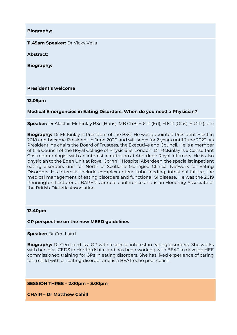**Biography:**

**11.45am Speaker:** Dr Vicky Vella

**Abstract:** 

**Biography:**

**President's welcome**

**12.05pm** 

**Medical Emergencies in Eating Disorders: When do you need a Physician?**

**Speaker:** Dr Alastair McKinlay BSc (Hons), MB ChB, FRCP (Ed), FRCP (Glas), FRCP (Lon)

**Biography:** Dr McKinlay is President of the BSG. He was appointed President-Elect in 2018 and became President in June 2020 and will serve for 2 years until June 2022. As President, he chairs the Board of Trustees, the Executive and Council. He is a member of the Council of the Royal College of Physicians, London. Dr McKinlay is a Consultant Gastroenterologist with an interest in nutrition at Aberdeen Royal Infirmary. He is also physician to the Eden Unit at Royal Cornhill Hospital Aberdeen, the specialist inpatient eating disorders unit for North of Scotland Managed Clinical Network for Eating Disorders. His interests include complex enteral tube feeding, intestinal failure, the medical management of eating disorders and functional GI disease. He was the 2019 Pennington Lecturer at BAPEN's annual conference and is an Honorary Associate of the British Dietetic Association.

#### **12.40pm**

**GP perspective on the new MEED guidelines**

**Speaker:** Dr Ceri Laird

**Biography:** Dr Ceri Laird is a GP with a special interest in eating disorders. She works with her local CEDS in Hertfordshire and has been working with BEAT to develop HEE commissioned training for GPs in eating disorders. She has lived experience of caring for a child with an eating disorder and is a BEAT echo peer coach.

#### **SESSION THREE – 2.00pm – 3.00pm**

**CHAIR – Dr Matthew Cahill**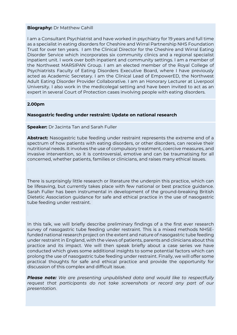#### **Biography:** Dr Matthew Cahill

I am a Consultant Psychiatrist and have worked in psychiatry for 19 years and full time as a specialist in eating disorders for Cheshire and Wirral Partnership NHS Foundation Trust for over ten years. I am the Clinical Director for the Cheshire and Wirral Eating Disorder Service which incorporates six community clinics and a regional specialist inpatient unit. I work over both inpatient and community settings. I am a member of the Northwest MARSIPAN Group. I am an elected member of the Royal College of Psychiatrists Faculty of Eating Disorders Executive Board, where I have previously acted as Academic Secretary. I am the Clinical Lead of EmpowerED, the Northwest Adult Eating Disorder Provider Collaborative. I am an Honorary Lecturer at Liverpool University. I also work in the medicolegal setting and have been invited to act as an expert in several Court of Protection cases involving people with eating disorders.

#### **2.00pm**

#### **Nasogastric feeding under restraint: Update on national research**

#### **Speaker:** Dr Jacinta Tan and Sarah Fuller

**Abstract:** Nasogastric tube feeding under restraint represents the extreme end of a spectrum of how patients with eating disorders, or other disorders, can receive their nutritional needs. It involves the use of compulsory treatment, coercive measures, and invasive intervention, so it is controversial, emotive and can be traumatising for all concerned, whether patients, families or clinicians, and raises many ethical issues.

There is surprisingly little research or literature the underpin this practice, which can be lifesaving, but currently takes place with few national or best practice guidance. Sarah Fuller has been instrumental in development of the ground-breaking British Dietetic Association guidance for safe and ethical practice in the use of nasogastric tube feeding under restraint.

In this talk, we will briefly describe preliminary findings of a the first ever research survey of nasogastric tube feeding under restraint. This is a mixed methods NHSEfunded national research project on the extent and nature of nasogastric tube feeding under restraint in England, with the views of patients, parents and clinicians about this practice and its impact. We will then speak briefly about a case series we have conducted which gives some additional insights to some potential factors which can prolong the use of nasogastric tube feeding under restraint. Finally, we will offer some practical thoughts for safe and ethical practice and provide the opportunity for discussion of this complex and difficult issue.

*Please note: We are presenting unpublished data and would like to respectfully*  request that participants do not take screenshots or record any part of our *presentation.*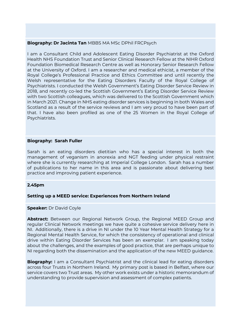### **Biography: Dr Jacinta Tan** MBBS MA MSc DPhil FRCPsych

I am a Consultant Child and Adolescent Eating Disorder Psychiatrist at the Oxford Health NHS Foundation Trust and Senior Clinical Research Fellow at the NIHR Oxford Foundation Biomedical Research Centre as well as Honorary Senior Research Fellow at the University of Oxford. I am a researcher and medical ethicist, a member of the Royal College's Professional Practice and Ethics Committee and until recently the Welsh representative for the Eating Disorders Faculty of the Royal College of Psychiatrists. I conducted the Welsh Government's Eating Disorder Service Review in 2018, and recently co-led the Scottish Government's Eating Disorder Service Review with two Scottish colleagues, which was delivered to the Scottish Government which in March 2021. Change in NHS eating disorder services is beginning in both Wales and Scotland as a result of the service reviews and I am very proud to have been part of that. I have also been profiled as one of the 25 Women in the Royal College of Psychiatrists.

#### **Biography: Sarah Fuller**

Sarah is an eating disorders dietitian who has a special interest in both the management of veganism in anorexia and NGT feeding under physical restraint where she is currently researching at Imperial College London. Sarah has a number of publications to her name in this area and is passionate about delivering best practice and improving patient experience.

#### **2.45pm**

#### **Setting up a MEED service: Experiences from Northern Ireland**

#### **Speaker: Dr David Coyle**

**Abstract:** Between our Regional Network Group, the Regional MEED Group and regular Clinical Network meetings we have quite a cohesive service delivery here in NI. Additionally, there is a drive in NI under the 10 Year Mental Health Strategy for a Regional Mental Health Service, for which the consistency of operational and clinical drive within Eating Disorder Services has been an exemplar. I am speaking today about the challenges, and the examples of good practice, that are perhaps unique to NI regarding both the dissemination and the application of the new MEED guidance.

**Biography:** I am a Consultant Psychiatrist and the clinical lead for eating disorders across four Trusts in Northern Ireland. My primary post is based in Belfast, where our service covers two Trust areas. My other work exists under a historic memorandum of understanding to provide supervision and assessment of complex patients.